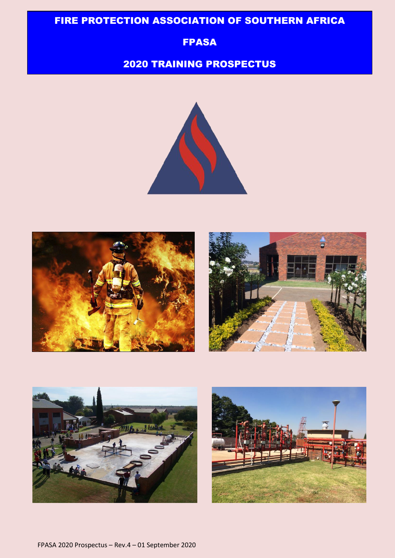# FIRE PROTECTION ASSOCIATION OF SOUTHERN AFRICA

### FPASA

#### 55 2020 TRAINING PROSPECTUS









FPASA 2020 Prospectus – Rev.4 – 01 September 2020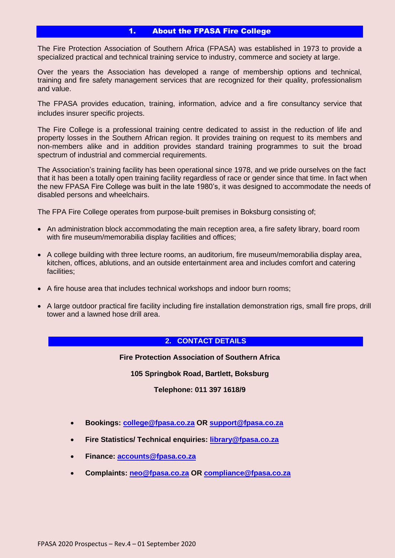### 1. About the FPASA Fire College

The Fire Protection Association of Southern Africa (FPASA) was established in 1973 to provide a specialized practical and technical training service to industry, commerce and society at large.

Over the years the Association has developed a range of membership options and technical, training and fire safety management services that are recognized for their quality, professionalism and value.

The FPASA provides education, training, information, advice and a fire consultancy service that includes insurer specific projects.

The Fire College is a professional training centre dedicated to assist in the reduction of life and property losses in the Southern African region. It provides training on request to its members and non-members alike and in addition provides standard training programmes to suit the broad spectrum of industrial and commercial requirements.

The Association's training facility has been operational since 1978, and we pride ourselves on the fact that it has been a totally open training facility regardless of race or gender since that time. In fact when the new FPASA Fire College was built in the late 1980's, it was designed to accommodate the needs of disabled persons and wheelchairs.

The FPA Fire College operates from purpose-built premises in Boksburg consisting of;

- An administration block accommodating the main reception area, a fire safety library, board room with fire museum/memorabilia display facilities and offices;
- A college building with three lecture rooms, an auditorium, fire museum/memorabilia display area, kitchen, offices, ablutions, and an outside entertainment area and includes comfort and catering facilities;
- A fire house area that includes technical workshops and indoor burn rooms;
- A large outdoor practical fire facility including fire installation demonstration rigs, small fire props, drill tower and a lawned hose drill area.

#### **2. CONTACT DETAILS**

**Fire Protection Association of Southern Africa**

**105 Springbok Road, Bartlett, Boksburg**

**Telephone: 011 397 1618/9**

- **Bookings: [college@fpasa.co.za](mailto:college@fpasa.co.za) OR [support@fpasa.co.za](mailto:support@fpasa.co.za)**
- **Fire Statistics/ Technical enquiries: [library@fpasa.co.za](mailto:library@fpasa.co.za)**
- **Finance: [accounts@fpasa.co.za](mailto:accounts@fpasa.co.za)**
- **Complaints: [neo@fpasa.co.za](mailto:neo@fpasa.co.za) OR [compliance@fpasa.co.za](mailto:compliance@fpasa.co.za)**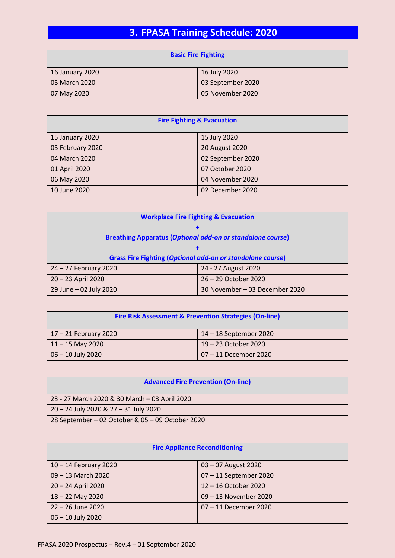# **3. FPASA Training Schedule: 2020**

| <b>Basic Fire Fighting</b> |                   |
|----------------------------|-------------------|
| 16 January 2020            | 16 July 2020      |
| 05 March 2020              | 03 September 2020 |
| 07 May 2020                | 05 November 2020  |

| <b>Fire Fighting &amp; Evacuation</b> |                   |  |
|---------------------------------------|-------------------|--|
| 15 January 2020                       | 15 July 2020      |  |
| 05 February 2020                      | 20 August 2020    |  |
| 04 March 2020                         | 02 September 2020 |  |
| 01 April 2020                         | 07 October 2020   |  |
| 06 May 2020                           | 04 November 2020  |  |
| 10 June 2020                          | 02 December 2020  |  |

| <b>Workplace Fire Fighting &amp; Evacuation</b>                   |                                |  |
|-------------------------------------------------------------------|--------------------------------|--|
|                                                                   |                                |  |
| <b>Breathing Apparatus (Optional add-on or standalone course)</b> |                                |  |
|                                                                   |                                |  |
| <b>Grass Fire Fighting (Optional add-on or standalone course)</b> |                                |  |
| 24 - 27 February 2020                                             | 24 - 27 August 2020            |  |
| $20 - 23$ April 2020                                              | 26 - 29 October 2020           |  |
| 29 June - 02 July 2020                                            | 30 November - 03 December 2020 |  |

| <b>Fire Risk Assessment &amp; Prevention Strategies (On-line)</b> |                        |
|-------------------------------------------------------------------|------------------------|
| $17 - 21$ February 2020                                           | 14 – 18 September 2020 |
| $11 - 15$ May 2020                                                | 19 – 23 October 2020   |
| 06 - 10 July 2020                                                 | 07 - 11 December 2020  |

| <b>Advanced Fire Prevention (On-line)</b>        |  |
|--------------------------------------------------|--|
| 23 - 27 March 2020 & 30 March - 03 April 2020    |  |
| 20 - 24 July 2020 & 27 - 31 July 2020            |  |
| 28 September – 02 October & 05 – 09 October 2020 |  |

| <b>Fire Appliance Reconditioning</b> |                        |  |
|--------------------------------------|------------------------|--|
| $10 - 14$ February 2020              | $03 - 07$ August 2020  |  |
| 09 - 13 March 2020                   | 07 - 11 September 2020 |  |
| 20 - 24 April 2020                   | 12 - 16 October 2020   |  |
| $18 - 22$ May 2020                   | 09 - 13 November 2020  |  |
| 22 - 26 June 2020                    | 07-11 December 2020    |  |
| 06 - 10 July 2020                    |                        |  |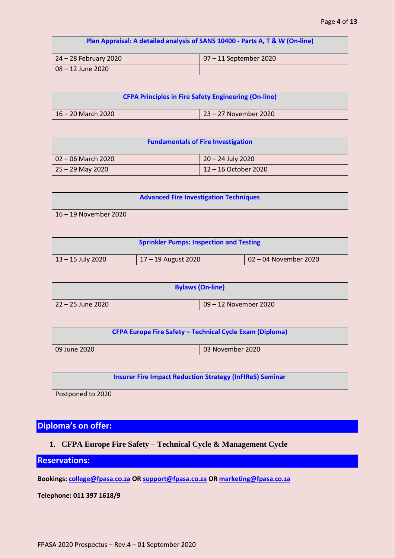| Plan Appraisal: A detailed analysis of SANS 10400 - Parts A, T & W (On-line) |                           |
|------------------------------------------------------------------------------|---------------------------|
| 24 – 28 February 2020                                                        | $ 07 - 11$ September 2020 |
| $08 - 12$ June 2020                                                          |                           |

| <b>CFPA Principles in Fire Safety Engineering (On-line)</b> |                       |  |
|-------------------------------------------------------------|-----------------------|--|
| 16 – 20 March 2020                                          | 23 – 27 November 2020 |  |

| <b>Fundamentals of Fire Investigation</b> |                      |  |
|-------------------------------------------|----------------------|--|
| 02 – 06 March 2020                        | 20 – 24 July 2020    |  |
| $25 - 29$ May 2020                        | 12 – 16 October 2020 |  |

|                         | <b>Advanced Fire Investigation Techniques</b> |
|-------------------------|-----------------------------------------------|
| $16 - 19$ November 2020 |                                               |

| <b>Sprinkler Pumps: Inspection and Testing</b> |                     |                       |
|------------------------------------------------|---------------------|-----------------------|
| 13 – 15 July 2020                              | 17 – 19 August 2020 | 02 - 04 November 2020 |

|                     | <b>Bylaws (On-line)</b> |
|---------------------|-------------------------|
| l 22 – 25 June 2020 | 09 - 12 November 2020   |

| <b>CFPA Europe Fire Safety - Technical Cycle Exam (Diploma)</b> |  |                  |
|-----------------------------------------------------------------|--|------------------|
| 09 June 2020                                                    |  | 03 November 2020 |

|  | <b>Insurer Fire Impact Reduction Strategy (InFIReS) Seminar</b> |
|--|-----------------------------------------------------------------|
|  |                                                                 |

Postponed to 2020

## **Diploma's on offer:**

### **1. CFPA Europe Fire Safety – Technical Cycle & Management Cycle**

### **Reservations:**

**Bookings: [college@fpasa.co.za](mailto:college@fpasa.co.za) OR [support@fpasa.co.za](mailto:support@fpasa.co.za) O[R marketing@fpasa.co.za](mailto:marketing@fpasa.co.za)**

**Telephone: 011 397 1618/9**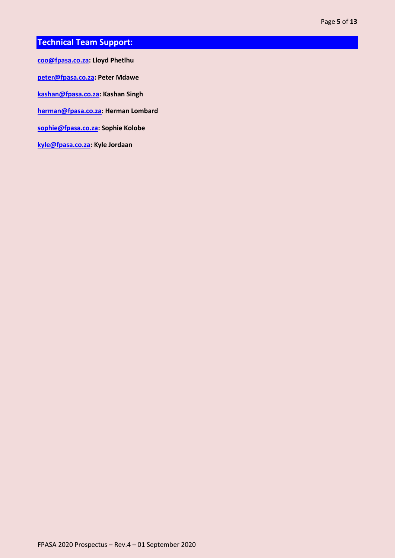## **Technical Team Support:**

**[coo@fpasa.co.za:](mailto:coo@fpasa.co.za) Lloyd Phetlhu**

**[peter@fpasa.co.za:](mailto:peter@fpasa.co.za) Peter Mdawe**

**[kashan@fpasa.co.za:](mailto:kashan@fpasa.co.za) Kashan Singh** 

**[herman@fpasa.co.za:](mailto:herman@fpasa.co.za) Herman Lombard**

**[sophie@fpasa.co.za:](mailto:sophie@fpasa.co.za) Sophie Kolobe**

**[kyle@fpasa.co.za:](mailto:kyle@fpasa.co.za) Kyle Jordaan**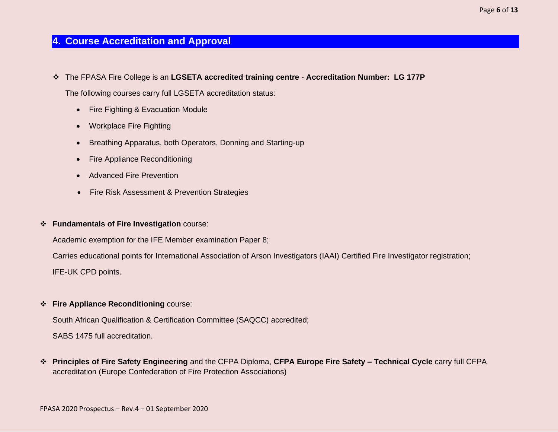### **4. Course Accreditation and Approval**

❖ The FPASA Fire College is an **LGSETA accredited training centre** - **Accreditation Number: LG 177P**

The following courses carry full LGSETA accreditation status:

- Fire Fighting & Evacuation Module
- Workplace Fire Fighting
- Breathing Apparatus, both Operators, Donning and Starting-up
- Fire Appliance Reconditioning
- Advanced Fire Prevention
- Fire Risk Assessment & Prevention Strategies

#### ❖ **Fundamentals of Fire Investigation** course:

Academic exemption for the IFE Member examination Paper 8;

Carries educational points for International Association of Arson Investigators (IAAI) Certified Fire Investigator registration;

IFE-UK CPD points.

#### ❖ **Fire Appliance Reconditioning** course:

South African Qualification & Certification Committee (SAQCC) accredited;

SABS 1475 full accreditation.

❖ **Principles of Fire Safety Engineering** and the CFPA Diploma, **CFPA Europe Fire Safety – Technical Cycle** carry full CFPA accreditation (Europe Confederation of Fire Protection Associations)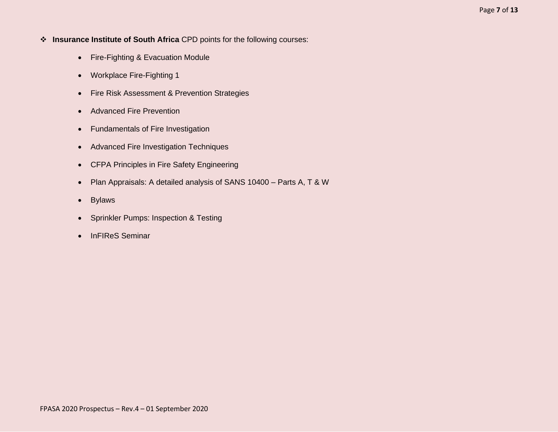- ❖ **Insurance Institute of South Africa** CPD points for the following courses:
	- Fire-Fighting & Evacuation Module
	- Workplace Fire-Fighting 1
	- Fire Risk Assessment & Prevention Strategies
	- Advanced Fire Prevention
	- Fundamentals of Fire Investigation
	- Advanced Fire Investigation Techniques
	- CFPA Principles in Fire Safety Engineering
	- Plan Appraisals: A detailed analysis of SANS 10400 Parts A, T & W
	- Bylaws
	- Sprinkler Pumps: Inspection & Testing
	- InFIReS Seminar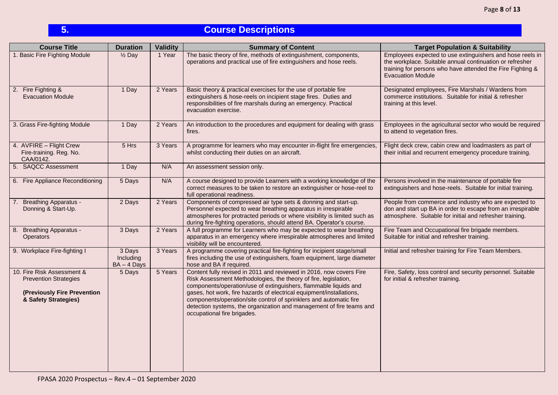# **5. Course Descriptions**

| <b>Course Title</b>                                                                                               | <b>Duration</b>                      | <b>Validity</b> | <b>Summary of Content</b>                                                                                                                                                                                                                                                                                                                                                                                                                                       | <b>Target Population &amp; Suitability</b>                                                                                                                                                                      |
|-------------------------------------------------------------------------------------------------------------------|--------------------------------------|-----------------|-----------------------------------------------------------------------------------------------------------------------------------------------------------------------------------------------------------------------------------------------------------------------------------------------------------------------------------------------------------------------------------------------------------------------------------------------------------------|-----------------------------------------------------------------------------------------------------------------------------------------------------------------------------------------------------------------|
| 1. Basic Fire Fighting Module                                                                                     | $\frac{1}{2}$ Day                    | 1 Year          | The basic theory of fire, methods of extinguishment, components,<br>operations and practical use of fire extinguishers and hose reels.                                                                                                                                                                                                                                                                                                                          | Employees expected to use extinguishers and hose reels in<br>the workplace. Suitable annual continuation or refresher<br>training for persons who have attended the Fire Fighting &<br><b>Evacuation Module</b> |
| 2. Fire Fighting &<br><b>Evacuation Module</b>                                                                    | 1 Day                                | 2 Years         | Basic theory & practical exercises for the use of portable fire<br>extinguishers & hose-reels on incipient stage fires. Duties and<br>responsibilities of fire marshals during an emergency. Practical<br>evacuation exercise.                                                                                                                                                                                                                                  | Designated employees, Fire Marshals / Wardens from<br>commerce institutions. Suitable for initial & refresher<br>training at this level.                                                                        |
| 3. Grass Fire-fighting Module                                                                                     | 1 Day                                | 2 Years         | An introduction to the procedures and equipment for dealing with grass<br>fires.                                                                                                                                                                                                                                                                                                                                                                                | Employees in the agricultural sector who would be required<br>to attend to vegetation fires.                                                                                                                    |
| 4. AVFIRE - Flight Crew<br>Fire-training. Reg. No.<br>CAA/0142.                                                   | 5 Hrs                                | 3 Years         | A programme for learners who may encounter in-flight fire emergencies,<br>whilst conducting their duties on an aircraft.                                                                                                                                                                                                                                                                                                                                        | Flight deck crew, cabin crew and loadmasters as part of<br>their initial and recurrent emergency procedure training.                                                                                            |
| 5. SAQCC Assessment                                                                                               | 1 Day                                | N/A             | An assessment session only.                                                                                                                                                                                                                                                                                                                                                                                                                                     |                                                                                                                                                                                                                 |
| 6. Fire Appliance Reconditioning                                                                                  | 5 Days                               | N/A             | A course designed to provide Learners with a working knowledge of the<br>correct measures to be taken to restore an extinguisher or hose-reel to<br>full operational readiness.                                                                                                                                                                                                                                                                                 | Persons involved in the maintenance of portable fire<br>extinguishers and hose-reels. Suitable for initial training.                                                                                            |
| 7. Breathing Apparatus -<br>Donning & Start-Up.                                                                   | 2 Days                               | 2 Years         | Components of compressed air type sets & donning and start-up.<br>Personnel expected to wear breathing apparatus in irrespirable<br>atmospheres for protracted periods or where visibility is limited such as<br>during fire-fighting operations, should attend BA. Operator's course.                                                                                                                                                                          | People from commerce and industry who are expected to<br>don and start up BA in order to escape from an irrespirable<br>atmosphere. Suitable for initial and refresher training.                                |
| 8. Breathing Apparatus -<br><b>Operators</b>                                                                      | 3 Days                               | 2 Years         | A full programme for Learners who may be expected to wear breathing<br>apparatus in an emergency where irrespirable atmospheres and limited<br>visibility will be encountered.                                                                                                                                                                                                                                                                                  | Fire Team and Occupational fire brigade members.<br>Suitable for initial and refresher training.                                                                                                                |
| 9. Workplace Fire-fighting I                                                                                      | 3 Days<br>Including<br>$BA - 4$ Days | 3 Years         | A programme covering practical fire-fighting for incipient stage/small<br>fires including the use of extinguishers, foam equipment, large diameter<br>hose and BA if required.                                                                                                                                                                                                                                                                                  | Initial and refresher training for Fire Team Members.                                                                                                                                                           |
| 10. Fire Risk Assessment &<br><b>Prevention Strategies</b><br>(Previously Fire Prevention<br>& Safety Strategies) | 5 Days                               | 5 Years         | Content fully revised in 2011 and reviewed in 2016, now covers Fire<br>Risk Assessment Methodologies, the theory of fire, legislation,<br>components/operation/use of extinguishers, flammable liquids and<br>gases, hot work, fire hazards of electrical equipment/installations,<br>components/operation/site control of sprinklers and automatic fire<br>detection systems, the organization and management of fire teams and<br>occupational fire brigades. | Fire, Safety, loss control and security personnel. Suitable<br>for initial & refresher training.                                                                                                                |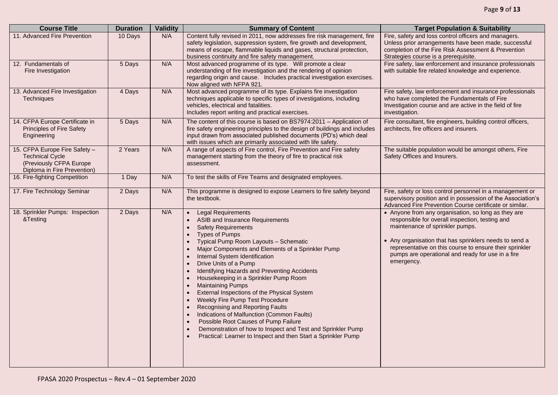| <b>Course Title</b>                                                                                               | <b>Duration</b> | <b>Validity</b> | <b>Summary of Content</b>                                                                                                                                                                                                                                                                                                                                                                                                                                                                                                                                                                                                                                                                                                                                                                         | <b>Target Population &amp; Suitability</b>                                                                                                                                                                                                                                                                                        |
|-------------------------------------------------------------------------------------------------------------------|-----------------|-----------------|---------------------------------------------------------------------------------------------------------------------------------------------------------------------------------------------------------------------------------------------------------------------------------------------------------------------------------------------------------------------------------------------------------------------------------------------------------------------------------------------------------------------------------------------------------------------------------------------------------------------------------------------------------------------------------------------------------------------------------------------------------------------------------------------------|-----------------------------------------------------------------------------------------------------------------------------------------------------------------------------------------------------------------------------------------------------------------------------------------------------------------------------------|
| 11. Advanced Fire Prevention                                                                                      | 10 Days         | N/A             | Content fully revised in 2011, now addresses fire risk management, fire<br>safety legislation, suppression system, fire growth and development,<br>means of escape, flammable liquids and gases, structural protection,<br>business continuity and fire safety management.                                                                                                                                                                                                                                                                                                                                                                                                                                                                                                                        | Fire, safety and loss control officers and managers.<br>Unless prior arrangements have been made, successful<br>completion of the Fire Risk Assessment & Prevention<br>Strategies course is a prerequisite.                                                                                                                       |
| 12. Fundamentals of<br>Fire Investigation                                                                         | 5 Days          | N/A             | Most advanced programme of its type. Will promote a clear<br>understanding of fire investigation and the rendering of opinion<br>regarding origin and cause. Includes practical investigation exercises.<br>Now aligned with NFPA 921.                                                                                                                                                                                                                                                                                                                                                                                                                                                                                                                                                            | Fire safety, law enforcement and insurance professionals<br>with suitable fire related knowledge and experience.                                                                                                                                                                                                                  |
| 13. Advanced Fire Investigation<br>Techniques                                                                     | 4 Days          | N/A             | Most advanced programme of its type. Explains fire investigation<br>techniques applicable to specific types of investigations, including<br>vehicles, electrical and fatalities.<br>Includes report writing and practical exercises.                                                                                                                                                                                                                                                                                                                                                                                                                                                                                                                                                              | Fire safety, law enforcement and insurance professionals<br>who have completed the Fundamentals of Fire<br>Investigation course and are active in the field of fire<br>investigation.                                                                                                                                             |
| 14. CFPA Europe Certificate in<br>Principles of Fire Safety<br>Engineering                                        | 5 Days          | N/A             | The content of this course is based on BS7974:2011 - Application of<br>fire safety engineering principles to the design of buildings and includes<br>input drawn from associated published documents (PD's) which deal<br>with issues which are primarily associated with life safety.                                                                                                                                                                                                                                                                                                                                                                                                                                                                                                            | Fire consultant, fire engineers, building control officers,<br>architects, fire officers and insurers.                                                                                                                                                                                                                            |
| 15. CFPA Europe Fire Safety -<br><b>Technical Cycle</b><br>(Previously CFPA Europe<br>Diploma in Fire Prevention) | 2 Years         | N/A             | A range of aspects of Fire control, Fire Prevention and Fire safety<br>management starting from the theory of fire to practical risk<br>assessment.                                                                                                                                                                                                                                                                                                                                                                                                                                                                                                                                                                                                                                               | The suitable population would be amongst others, Fire<br>Safety Offices and Insurers.                                                                                                                                                                                                                                             |
| 16. Fire-fighting Competition                                                                                     | 1 Day           | N/A             | To test the skills of Fire Teams and designated employees.                                                                                                                                                                                                                                                                                                                                                                                                                                                                                                                                                                                                                                                                                                                                        |                                                                                                                                                                                                                                                                                                                                   |
| 17. Fire Technology Seminar                                                                                       | 2 Days          | N/A             | This programme is designed to expose Learners to fire safety beyond<br>the textbook.                                                                                                                                                                                                                                                                                                                                                                                                                                                                                                                                                                                                                                                                                                              | Fire, safety or loss control personnel in a management or<br>supervisory position and in possession of the Association's<br>Advanced Fire Prevention Course certificate or similar.                                                                                                                                               |
| 18. Sprinkler Pumps: Inspection<br>&Testing                                                                       | 2 Days          | N/A             | <b>Legal Requirements</b><br>ASIB and Insurance Requirements<br><b>Safety Requirements</b><br><b>Types of Pumps</b><br>Typical Pump Room Layouts - Schematic<br>Major Components and Elements of a Sprinkler Pump<br>Internal System Identification<br>$\bullet$<br>Drive Units of a Pump<br>Identifying Hazards and Preventing Accidents<br>Housekeeping in a Sprinkler Pump Room<br>$\bullet$<br><b>Maintaining Pumps</b><br>$\bullet$<br>External Inspections of the Physical System<br>Weekly Fire Pump Test Procedure<br>Recognising and Reporting Faults<br>Indications of Malfunction (Common Faults)<br>Possible Root Causes of Pump Failure<br>$\bullet$<br>Demonstration of how to Inspect and Test and Sprinkler Pump<br>Practical: Learner to Inspect and then Start a Sprinkler Pump | • Anyone from any organisation, so long as they are<br>responsible for overall inspection, testing and<br>maintenance of sprinkler pumps.<br>• Any organisation that has sprinklers needs to send a<br>representative on this course to ensure their sprinkler<br>pumps are operational and ready for use in a fire<br>emergency. |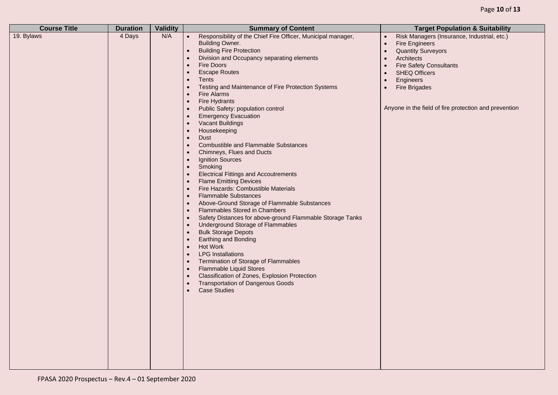| <b>Course Title</b> | <b>Duration</b> | <b>Validity</b> | <b>Summary of Content</b>                                                                                                                                                                                                                                                                                                                                                                                                                                                                                                                                                                                                                                                                                                                                                                                                                                                                                                                                                                                                                                                                                                                                                                                                                                                                                                                                                                                                                                                                                                                                                                                                                                             | <b>Target Population &amp; Suitability</b>                                                                                                                                                                                                                                                                                               |
|---------------------|-----------------|-----------------|-----------------------------------------------------------------------------------------------------------------------------------------------------------------------------------------------------------------------------------------------------------------------------------------------------------------------------------------------------------------------------------------------------------------------------------------------------------------------------------------------------------------------------------------------------------------------------------------------------------------------------------------------------------------------------------------------------------------------------------------------------------------------------------------------------------------------------------------------------------------------------------------------------------------------------------------------------------------------------------------------------------------------------------------------------------------------------------------------------------------------------------------------------------------------------------------------------------------------------------------------------------------------------------------------------------------------------------------------------------------------------------------------------------------------------------------------------------------------------------------------------------------------------------------------------------------------------------------------------------------------------------------------------------------------|------------------------------------------------------------------------------------------------------------------------------------------------------------------------------------------------------------------------------------------------------------------------------------------------------------------------------------------|
| 19. Bylaws          | 4 Days          | N/A             | Responsibility of the Chief Fire Officer, Municipal manager,<br>$\bullet$<br><b>Building Owner.</b><br><b>Building Fire Protection</b><br>$\bullet$<br>Division and Occupancy separating elements<br>$\bullet$<br>Fire Doors<br>$\bullet$<br><b>Escape Routes</b><br>$\bullet$<br><b>Tents</b><br>$\bullet$<br>Testing and Maintenance of Fire Protection Systems<br>$\bullet$<br>Fire Alarms<br>$\bullet$<br>Fire Hydrants<br>$\bullet$<br>Public Safety: population control<br>$\bullet$<br><b>Emergency Evacuation</b><br><b>Vacant Buildings</b><br>$\bullet$<br>Housekeeping<br>$\bullet$<br><b>Dust</b><br>$\bullet$<br><b>Combustible and Flammable Substances</b><br>$\bullet$<br>Chimneys, Flues and Ducts<br><b>Ignition Sources</b><br>$\bullet$<br>Smoking<br>$\bullet$<br><b>Electrical Fittings and Accoutrements</b><br>$\bullet$<br><b>Flame Emitting Devices</b><br>$\bullet$<br>Fire Hazards: Combustible Materials<br>$\bullet$<br><b>Flammable Substances</b><br>$\bullet$<br>Above-Ground Storage of Flammable Substances<br>$\bullet$<br><b>Flammables Stored in Chambers</b><br>$\bullet$<br>Safety Distances for above-ground Flammable Storage Tanks<br>$\bullet$<br><b>Underground Storage of Flammables</b><br>$\bullet$<br><b>Bulk Storage Depots</b><br>$\bullet$<br><b>Earthing and Bonding</b><br>$\bullet$<br><b>Hot Work</b><br>$\bullet$<br><b>LPG</b> Installations<br>$\bullet$<br>Termination of Storage of Flammables<br>$\bullet$<br><b>Flammable Liquid Stores</b><br>$\bullet$<br>Classification of Zones, Explosion Protection<br><b>Transportation of Dangerous Goods</b><br>$\bullet$<br><b>Case Studies</b><br>$\bullet$ | Risk Managers (Insurance, Industrial, etc.)<br>$\bullet$<br><b>Fire Engineers</b><br>$\bullet$<br><b>Quantity Surveyors</b><br>$\bullet$<br>Architects<br>$\bullet$<br><b>Fire Safety Consultants</b><br><b>SHEQ Officers</b><br>$\bullet$<br>Engineers<br><b>Fire Brigades</b><br>Anyone in the field of fire protection and prevention |
|                     |                 |                 |                                                                                                                                                                                                                                                                                                                                                                                                                                                                                                                                                                                                                                                                                                                                                                                                                                                                                                                                                                                                                                                                                                                                                                                                                                                                                                                                                                                                                                                                                                                                                                                                                                                                       |                                                                                                                                                                                                                                                                                                                                          |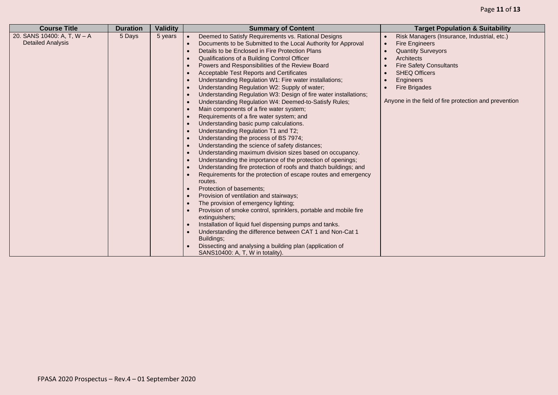| <b>Course Title</b>                                     | <b>Validity</b><br><b>Duration</b> | <b>Summary of Content</b>                                                                                                                                                                                                                                                                                                                                                                                                                                                                                                                                                                                                                                                                                                                                                                                                                                                                                                                                                                                                                                                                                                                                                                                                                                                                                                                                                                                                                                                                                                                                      | <b>Target Population &amp; Suitability</b>                                                                                                                                                                                                                                           |
|---------------------------------------------------------|------------------------------------|----------------------------------------------------------------------------------------------------------------------------------------------------------------------------------------------------------------------------------------------------------------------------------------------------------------------------------------------------------------------------------------------------------------------------------------------------------------------------------------------------------------------------------------------------------------------------------------------------------------------------------------------------------------------------------------------------------------------------------------------------------------------------------------------------------------------------------------------------------------------------------------------------------------------------------------------------------------------------------------------------------------------------------------------------------------------------------------------------------------------------------------------------------------------------------------------------------------------------------------------------------------------------------------------------------------------------------------------------------------------------------------------------------------------------------------------------------------------------------------------------------------------------------------------------------------|--------------------------------------------------------------------------------------------------------------------------------------------------------------------------------------------------------------------------------------------------------------------------------------|
| 20. SANS 10400: A, T, W - A<br><b>Detailed Analysis</b> | 5 Days<br>5 years                  | Deemed to Satisfy Requirements vs. Rational Designs<br>Documents to be Submitted to the Local Authority for Approval<br>Details to be Enclosed in Fire Protection Plans<br>Qualifications of a Building Control Officer<br>Powers and Responsibilities of the Review Board<br><b>Acceptable Test Reports and Certificates</b><br>Understanding Regulation W1: Fire water installations;<br>Understanding Regulation W2: Supply of water;<br>Understanding Regulation W3: Design of fire water installations;<br>Understanding Regulation W4: Deemed-to-Satisfy Rules;<br>Main components of a fire water system;<br>Requirements of a fire water system; and<br>Understanding basic pump calculations.<br>Understanding Regulation T1 and T2;<br>Understanding the process of BS 7974;<br>Understanding the science of safety distances;<br>Understanding maximum division sizes based on occupancy.<br>Understanding the importance of the protection of openings;<br>Understanding fire protection of roofs and thatch buildings; and<br>Requirements for the protection of escape routes and emergency<br>routes.<br>Protection of basements;<br>Provision of ventilation and stairways;<br>The provision of emergency lighting;<br>Provision of smoke control, sprinklers, portable and mobile fire<br>extinguishers;<br>Installation of liquid fuel dispensing pumps and tanks.<br>Understanding the difference between CAT 1 and Non-Cat 1<br>Buildings:<br>Dissecting and analysing a building plan (application of<br>SANS10400: A, T, W in totality). | Risk Managers (Insurance, Industrial, etc.)<br><b>Fire Engineers</b><br>$\bullet$<br><b>Quantity Surveyors</b><br>Architects<br><b>Fire Safety Consultants</b><br><b>SHEQ Officers</b><br>Engineers<br><b>Fire Brigades</b><br>Anyone in the field of fire protection and prevention |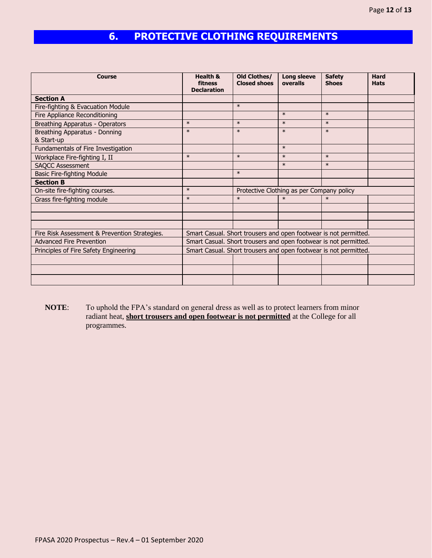# **6. PROTECTIVE CLOTHING REQUIREMENTS**

| <b>Course</b>                                 | <b>Health &amp;</b><br>fitness<br><b>Declaration</b> | Old Clothes/<br><b>Closed shoes</b> | Long sleeve<br>overalls                   | <b>Safety</b><br><b>Shoes</b>                                    | <b>Hard</b><br><b>Hats</b> |
|-----------------------------------------------|------------------------------------------------------|-------------------------------------|-------------------------------------------|------------------------------------------------------------------|----------------------------|
| <b>Section A</b>                              |                                                      |                                     |                                           |                                                                  |                            |
| Fire-fighting & Evacuation Module             |                                                      | $\ast$                              |                                           |                                                                  |                            |
| Fire Appliance Reconditioning                 |                                                      |                                     | $\ast$                                    | $\ast$                                                           |                            |
| Breathing Apparatus - Operators               | $\ast$                                               | $\ast$                              | $\ast$                                    | $\ast$                                                           |                            |
| Breathing Apparatus - Donning                 | $\ast$                                               | $\ast$                              | $\ast$                                    | $\ast$                                                           |                            |
| & Start-up                                    |                                                      |                                     |                                           |                                                                  |                            |
| Fundamentals of Fire Investigation            |                                                      |                                     | $\ast$                                    |                                                                  |                            |
| Workplace Fire-fighting I, II                 | $\ast$                                               | $\ast$                              | $\ast$                                    | $\ast$                                                           |                            |
| <b>SAQCC Assessment</b>                       |                                                      |                                     | $\ast$                                    | $\ast$                                                           |                            |
| <b>Basic Fire-fighting Module</b>             |                                                      | $\ast$                              |                                           |                                                                  |                            |
| <b>Section B</b>                              |                                                      |                                     |                                           |                                                                  |                            |
| On-site fire-fighting courses.                | $\ast$                                               |                                     | Protective Clothing as per Company policy |                                                                  |                            |
| Grass fire-fighting module                    | $\ast$                                               | $\ast$                              | $\ast$                                    | $\ast$                                                           |                            |
|                                               |                                                      |                                     |                                           |                                                                  |                            |
|                                               |                                                      |                                     |                                           |                                                                  |                            |
|                                               |                                                      |                                     |                                           |                                                                  |                            |
| Fire Risk Assessment & Prevention Strategies. |                                                      |                                     |                                           | Smart Casual. Short trousers and open footwear is not permitted. |                            |
| <b>Advanced Fire Prevention</b>               |                                                      |                                     |                                           | Smart Casual. Short trousers and open footwear is not permitted. |                            |
| Principles of Fire Safety Engineering         |                                                      |                                     |                                           | Smart Casual. Short trousers and open footwear is not permitted. |                            |
|                                               |                                                      |                                     |                                           |                                                                  |                            |
|                                               |                                                      |                                     |                                           |                                                                  |                            |
|                                               |                                                      |                                     |                                           |                                                                  |                            |

**NOTE**: To uphold the FPA's standard on general dress as well as to protect learners from minor radiant heat, **short trousers and open footwear is not permitted** at the College for all programmes.